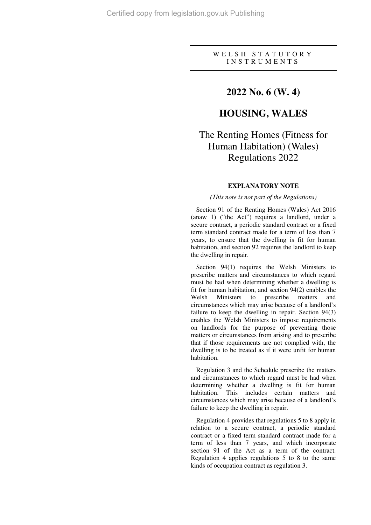# W E L S H S T A T U T O R Y I N S T R U M E N T S

# **2022 No. 6 (W. 4)**

# **HOUSING, WALES**

# The Renting Homes (Fitness for Human Habitation) (Wales) Regulations 2022

# **EXPLANATORY NOTE**

## *(This note is not part of the Regulations)*

Section 91 of the Renting Homes (Wales) Act 2016 (anaw 1) ("the Act") requires a landlord, under a secure contract, a periodic standard contract or a fixed term standard contract made for a term of less than 7 years, to ensure that the dwelling is fit for human habitation, and section 92 requires the landlord to keep the dwelling in repair.

Section 94(1) requires the Welsh Ministers to prescribe matters and circumstances to which regard must be had when determining whether a dwelling is fit for human habitation, and section 94(2) enables the Welsh Ministers to prescribe matters and circumstances which may arise because of a landlord's failure to keep the dwelling in repair. Section 94(3) enables the Welsh Ministers to impose requirements on landlords for the purpose of preventing those matters or circumstances from arising and to prescribe that if those requirements are not complied with, the dwelling is to be treated as if it were unfit for human habitation.

Regulation 3 and the Schedule prescribe the matters and circumstances to which regard must be had when determining whether a dwelling is fit for human habitation. This includes certain matters and circumstances which may arise because of a landlord's failure to keep the dwelling in repair.

Regulation 4 provides that regulations 5 to 8 apply in relation to a secure contract, a periodic standard contract or a fixed term standard contract made for a term of less than 7 years, and which incorporate section 91 of the Act as a term of the contract. Regulation 4 applies regulations 5 to 8 to the same kinds of occupation contract as regulation 3.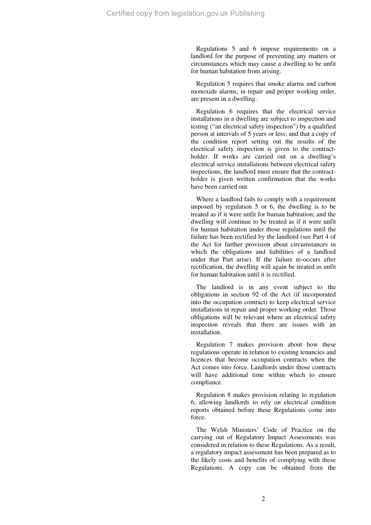Regulations 5 and 6 impose requirements on a landlord for the purpose of preventing any matters or circumstances which may cause a dwelling to be unfit for human habitation from arising.

Regulation 5 requires that smoke alarms and carbon monoxide alarms, in repair and proper working order, are present in a dwelling.

Regulation 6 requires that the electrical service installations in a dwelling are subject to inspection and testing ("an electrical safety inspection") by a qualified person at intervals of 5 years or less; and that a copy of the condition report setting out the results of the electrical safety inspection is given to the contractholder. If works are carried out on a dwelling's electrical service installations between electrical safety inspections, the landlord must ensure that the contractholder is given written confirmation that the works have been carried out.

Where a landlord fails to comply with a requirement imposed by regulation 5 or 6, the dwelling is to be treated as if it were unfit for human habitation; and the dwelling will continue to be treated as if it were unfit for human habitation under those regulations until the failure has been rectified by the landlord (see Part 4 of the Act for further provision about circumstances in which the obligations and liabilities of a landlord under that Part arise). If the failure re-occurs after rectification, the dwelling will again be treated as unfit for human habitation until it is rectified.

The landlord is in any event subject to the obligations in section 92 of the Act (if incorporated into the occupation contract) to keep electrical service installations in repair and proper working order. Those obligations will be relevant where an electrical safety inspection reveals that there are issues with an installation.

Regulation 7 makes provision about how these regulations operate in relation to existing tenancies and licences that become occupation contracts when the Act comes into force. Landlords under those contracts will have additional time within which to ensure compliance.

Regulation 8 makes provision relating to regulation 6, allowing landlords to rely on electrical condition reports obtained before these Regulations come into force.

The Welsh Ministers' Code of Practice on the carrying out of Regulatory Impact Assessments was considered in relation to these Regulations. As a result, a regulatory impact assessment has been prepared as to the likely costs and benefits of complying with these Regulations. A copy can be obtained from the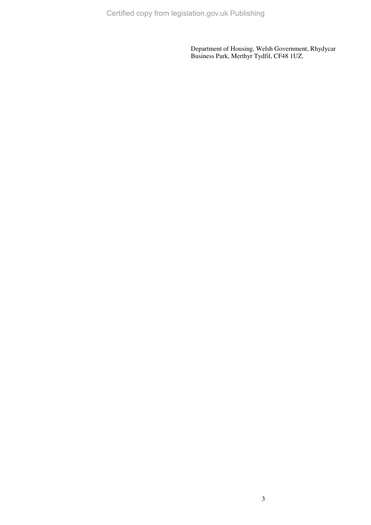Certified copy from legislation.gov.uk Publishing

Department of Housing, Welsh Government, Rhydycar Business Park, Merthyr Tydfil, CF48 1UZ.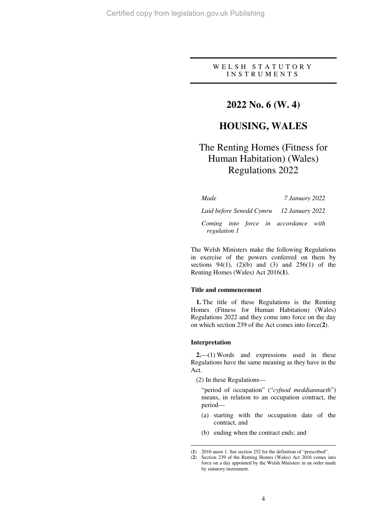# W E L S H S T A T U T O R Y I N S T R U M E N T S

# **2022 No. 6 (W. 4)**

# **HOUSING, WALES**

# The Renting Homes (Fitness for Human Habitation) (Wales) Regulations 2022

| Made                                       |  |  |  | 7 January 2022                       |  |
|--------------------------------------------|--|--|--|--------------------------------------|--|
| Laid before Senedd Cymru — 12 January 2022 |  |  |  |                                      |  |
| regulation 1                               |  |  |  | Coming into force in accordance with |  |

The Welsh Ministers make the following Regulations in exercise of the powers conferred on them by sections  $94(1)$ ,  $(2)(b)$  and  $(3)$  and  $256(1)$  of the Renting Homes (Wales) Act 2016(**1**).

### **Title and commencement**

**1.** The title of these Regulations is the Renting Homes (Fitness for Human Habitation) (Wales) Regulations 2022 and they come into force on the day on which section 239 of the Act comes into force(**2**).

#### **Interpretation**

 $\overline{a}$ 

**2.**—(1) Words and expressions used in these Regulations have the same meaning as they have in the Act.

(2) In these Regulations—

"period of occupation" ("*cyfnod meddiannaeth*") means, in relation to an occupation contract, the period—

- (a) starting with the occupation date of the contract, and
- (b) ending when the contract ends; and

<sup>(</sup>**1**) 2016 anaw 1. See section 252 for the definition of "prescribed".

<sup>(</sup>**2**) Section 239 of the Renting Homes (Wales) Act 2016 comes into force on a day appointed by the Welsh Ministers in an order made by statutory instrument.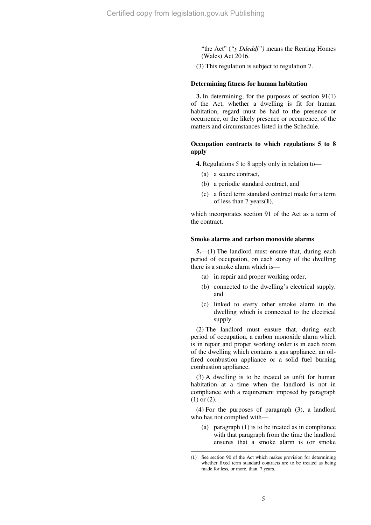"the Act" (*"y Ddeddf")* means the Renting Homes (Wales) Act 2016.

(3) This regulation is subject to regulation 7.

#### **Determining fitness for human habitation**

**3.** In determining, for the purposes of section 91(1) of the Act, whether a dwelling is fit for human habitation, regard must be had to the presence or occurrence, or the likely presence or occurrence, of the matters and circumstances listed in the Schedule.

# **Occupation contracts to which regulations 5 to 8 apply**

**4.** Regulations 5 to 8 apply only in relation to—

- (a) a secure contract,
- (b) a periodic standard contract, and
- (c) a fixed term standard contract made for a term of less than 7 years(**1**),

which incorporates section 91 of the Act as a term of the contract.

## **Smoke alarms and carbon monoxide alarms**

**5.**—(1) The landlord must ensure that, during each period of occupation, on each storey of the dwelling there is a smoke alarm which is—

- (a) in repair and proper working order,
- (b) connected to the dwelling's electrical supply, and
- (c) linked to every other smoke alarm in the dwelling which is connected to the electrical supply.

(2) The landlord must ensure that, during each period of occupation, a carbon monoxide alarm which is in repair and proper working order is in each room of the dwelling which contains a gas appliance, an oilfired combustion appliance or a solid fuel burning combustion appliance.

(3) A dwelling is to be treated as unfit for human habitation at a time when the landlord is not in compliance with a requirement imposed by paragraph (1) or (2).

(4) For the purposes of paragraph (3), a landlord who has not complied with—

(a) paragraph (1) is to be treated as in compliance with that paragraph from the time the landlord ensures that a smoke alarm is (or smoke

 $\overline{a}$ 

<sup>(</sup>**1**) See section 90 of the Act which makes provision for determining whether fixed term standard contracts are to be treated as being made for less, or more, than, 7 years.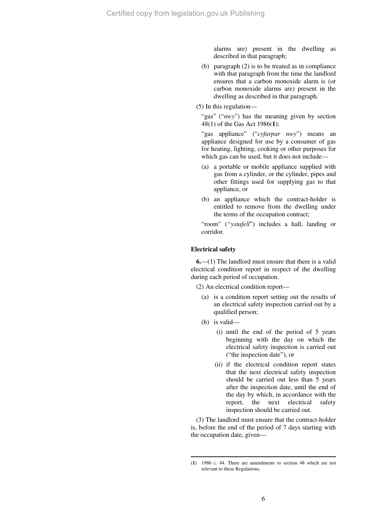alarms are) present in the dwelling as described in that paragraph;

- (b) paragraph (2) is to be treated as in compliance with that paragraph from the time the landlord ensures that a carbon monoxide alarm is (or carbon monoxide alarms are) present in the dwelling as described in that paragraph.
- (5) In this regulation—

"gas" ("*nwy*") has the meaning given by section 48(1) of the Gas Act 1986(**1**);

"gas appliance" ("*cyfarpar nwy*") means an appliance designed for use by a consumer of gas for heating, lighting, cooking or other purposes for which gas can be used, but it does not include—

- (a) a portable or mobile appliance supplied with gas from a cylinder, or the cylinder, pipes and other fittings used for supplying gas to that appliance, or
- (b) an appliance which the contract-holder is entitled to remove from the dwelling under the terms of the occupation contract;

"room" (*"ystafell*") includes a hall, landing or corridor.

# **Electrical safety**

**6.**—(1) The landlord must ensure that there is a valid electrical condition report in respect of the dwelling during each period of occupation.

(2) An electrical condition report—

- (a) is a condition report setting out the results of an electrical safety inspection carried out by a qualified person;
- (b) is valid—

 $\overline{a}$ 

- (i) until the end of the period of 5 years beginning with the day on which the electrical safety inspection is carried out ("the inspection date"), or
- (ii) if the electrical condition report states that the next electrical safety inspection should be carried out less than 5 years after the inspection date, until the end of the day by which, in accordance with the report, the next electrical safety inspection should be carried out.

(3) The landlord must ensure that the contract-holder is, before the end of the period of 7 days starting with the occupation date, given—

<sup>(</sup>**1**) 1986 c. 44. There are amendments to section 48 which are not relevant to these Regulations.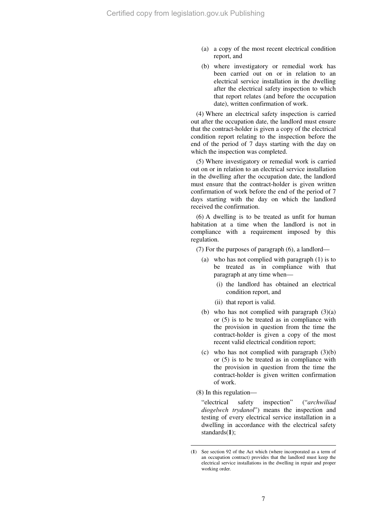- (a) a copy of the most recent electrical condition report, and
- (b) where investigatory or remedial work has been carried out on or in relation to an electrical service installation in the dwelling after the electrical safety inspection to which that report relates (and before the occupation date), written confirmation of work.

(4) Where an electrical safety inspection is carried out after the occupation date, the landlord must ensure that the contract-holder is given a copy of the electrical condition report relating to the inspection before the end of the period of 7 days starting with the day on which the inspection was completed.

(5) Where investigatory or remedial work is carried out on or in relation to an electrical service installation in the dwelling after the occupation date, the landlord must ensure that the contract-holder is given written confirmation of work before the end of the period of 7 days starting with the day on which the landlord received the confirmation.

(6) A dwelling is to be treated as unfit for human habitation at a time when the landlord is not in compliance with a requirement imposed by this regulation.

(7) For the purposes of paragraph (6), a landlord—

- (a) who has not complied with paragraph (1) is to be treated as in compliance with that paragraph at any time when—
	- (i) the landlord has obtained an electrical condition report, and
	- (ii) that report is valid.
- (b) who has not complied with paragraph  $(3)(a)$ or (5) is to be treated as in compliance with the provision in question from the time the contract-holder is given a copy of the most recent valid electrical condition report;
- (c) who has not complied with paragraph  $(3)(b)$ or (5) is to be treated as in compliance with the provision in question from the time the contract-holder is given written confirmation of work.
- (8) In this regulation—

 $\overline{a}$ 

"electrical safety inspection" ("*archwiliad diogelwch trydanol*") means the inspection and testing of every electrical service installation in a dwelling in accordance with the electrical safety standards(**1**);

<sup>(</sup>**1**) See section 92 of the Act which (where incorporated as a term of an occupation contract) provides that the landlord must keep the electrical service installations in the dwelling in repair and proper working order.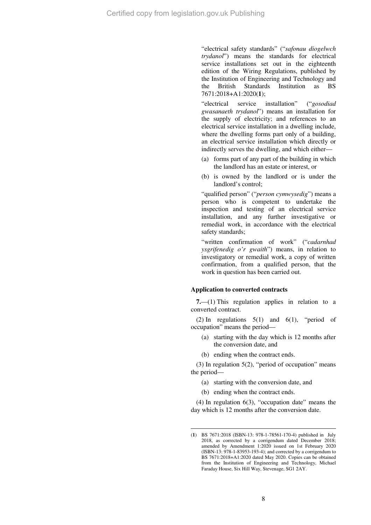"electrical safety standards" ("*safonau diogelwch trydanol*") means the standards for electrical service installations set out in the eighteenth edition of the Wiring Regulations, published by the Institution of Engineering and Technology and the British Standards Institution as BS 7671:2018+A1:2020(**1**);

"electrical service installation" ("*gosodiad gwasanaeth trydanol*") means an installation for the supply of electricity; and references to an electrical service installation in a dwelling include, where the dwelling forms part only of a building. an electrical service installation which directly or indirectly serves the dwelling, and which either—

- (a) forms part of any part of the building in which the landlord has an estate or interest, or
- (b) is owned by the landlord or is under the landlord's control;

"qualified person" ("*person cymwysedig*") means a person who is competent to undertake the inspection and testing of an electrical service installation, and any further investigative or remedial work, in accordance with the electrical safety standards:

"written confirmation of work" ("*cadarnhad ysgrifenedig o'r gwaith*") means, in relation to investigatory or remedial work, a copy of written confirmation, from a qualified person, that the work in question has been carried out.

# **Application to converted contracts**

**7.**—(1) This regulation applies in relation to a converted contract.

(2) In regulations  $5(1)$  and  $6(1)$ , "period of occupation" means the period—

- (a) starting with the day which is 12 months after the conversion date, and
- (b) ending when the contract ends.

(3) In regulation 5(2), "period of occupation" means the period—

- (a) starting with the conversion date, and
- (b) ending when the contract ends.

(4) In regulation 6(3), "occupation date" means the day which is 12 months after the conversion date.

 $\overline{a}$ (**1**) BS 7671:2018 (ISBN-13: 978-1-78561-170-4) published in July 2018, as corrected by a corrigendum dated December 2018; amended by Amendment 1:2020 issued on 1st February 2020 (ISBN-13: 978-1-83953-193-4); and corrected by a corrigendum to BS 7671:2018+A1:2020 dated May 2020. Copies can be obtained from the Institution of Engineering and Technology, Michael Faraday House, Six Hill Way, Stevenage, SG1 2AY.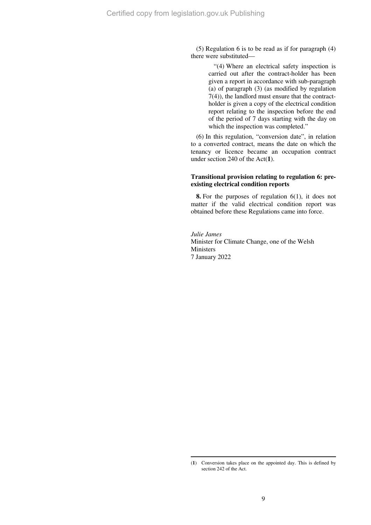(5) Regulation 6 is to be read as if for paragraph (4) there were substituted—

> "(4) Where an electrical safety inspection is carried out after the contract-holder has been given a report in accordance with sub-paragraph (a) of paragraph (3) (as modified by regulation 7(4)), the landlord must ensure that the contractholder is given a copy of the electrical condition report relating to the inspection before the end of the period of 7 days starting with the day on which the inspection was completed."

(6) In this regulation, "conversion date", in relation to a converted contract, means the date on which the tenancy or licence became an occupation contract under section 240 of the Act(**1**).

# **Transitional provision relating to regulation 6: preexisting electrical condition reports**

**8.** For the purposes of regulation 6(1), it does not matter if the valid electrical condition report was obtained before these Regulations came into force.

*Julie James*  Minister for Climate Change, one of the Welsh Ministers 7 January 2022

 $\overline{a}$ 

<sup>(</sup>**1**) Conversion takes place on the appointed day. This is defined by section 242 of the Act.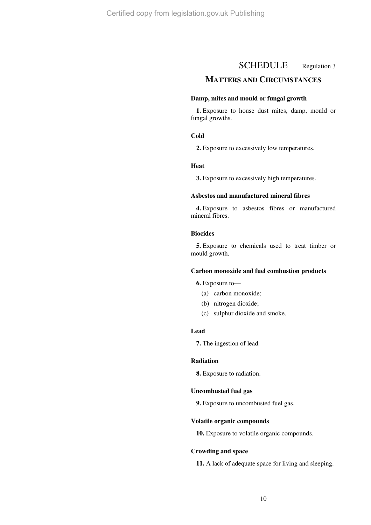# SCHEDULE Regulation 3

# **MATTERS AND CIRCUMSTANCES**

# **Damp, mites and mould or fungal growth**

**1.** Exposure to house dust mites, damp, mould or fungal growths.

# **Cold**

**2.** Exposure to excessively low temperatures.

#### **Heat**

**3.** Exposure to excessively high temperatures.

## **Asbestos and manufactured mineral fibres**

**4.** Exposure to asbestos fibres or manufactured mineral fibres.

# **Biocides**

**5.** Exposure to chemicals used to treat timber or mould growth.

#### **Carbon monoxide and fuel combustion products**

**6.** Exposure to—

- (a) carbon monoxide;
- (b) nitrogen dioxide;
- (c) sulphur dioxide and smoke.

# **Lead**

**7.** The ingestion of lead.

# **Radiation**

**8.** Exposure to radiation.

## **Uncombusted fuel gas**

**9.** Exposure to uncombusted fuel gas.

## **Volatile organic compounds**

**10.** Exposure to volatile organic compounds.

#### **Crowding and space**

**11.** A lack of adequate space for living and sleeping.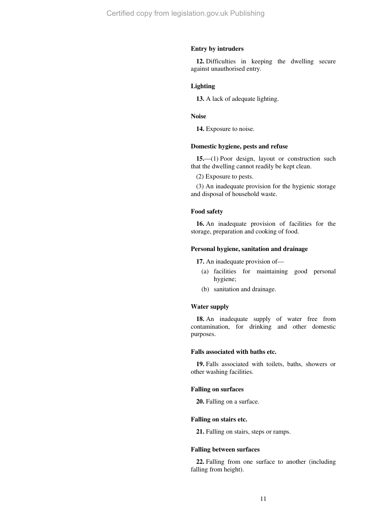# **Entry by intruders**

**12.** Difficulties in keeping the dwelling secure against unauthorised entry.

# **Lighting**

**13.** A lack of adequate lighting.

# **Noise**

**14.** Exposure to noise.

# **Domestic hygiene, pests and refuse**

**15.**—(1) Poor design, layout or construction such that the dwelling cannot readily be kept clean.

(2) Exposure to pests.

(3) An inadequate provision for the hygienic storage and disposal of household waste.

#### **Food safety**

**16.** An inadequate provision of facilities for the storage, preparation and cooking of food.

# **Personal hygiene, sanitation and drainage**

**17.** An inadequate provision of—

- (a) facilities for maintaining good personal hygiene;
- (b) sanitation and drainage.

## **Water supply**

**18.** An inadequate supply of water free from contamination, for drinking and other domestic purposes.

## **Falls associated with baths etc.**

**19.** Falls associated with toilets, baths, showers or other washing facilities.

#### **Falling on surfaces**

**20.** Falling on a surface.

#### **Falling on stairs etc.**

**21.** Falling on stairs, steps or ramps.

## **Falling between surfaces**

**22.** Falling from one surface to another (including falling from height).